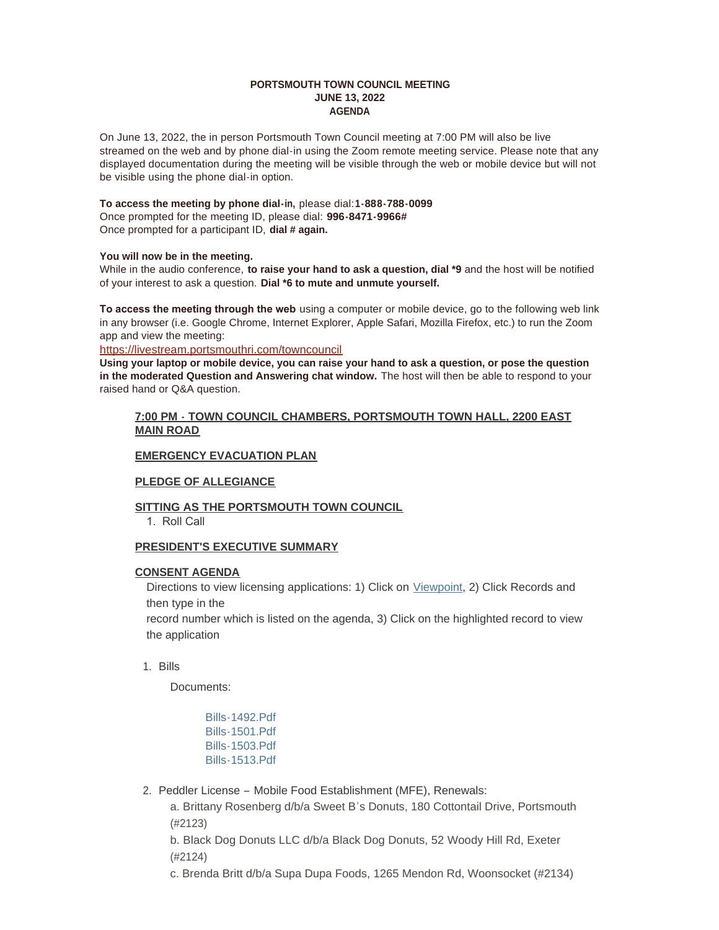### **PORTSMOUTH TOWN COUNCIL MEETING JUNE 13, 2022 AGENDA**

On June 13, 2022, the in person Portsmouth Town Council meeting at 7:00 PM will also be live streamed on the web and by phone dial-in using the Zoom remote meeting service. Please note that any displayed documentation during the meeting will be visible through the web or mobile device but will not be visible using the phone dial-in option.

#### **To access the meeting by phone dial-in,** please dial:**1-888-788-0099**

Once prompted for the meeting ID, please dial: **996-8471-9966#** Once prompted for a participant ID, **dial # again.**

#### **You will now be in the meeting.**

While in the audio conference, **to raise your hand to ask a question, dial \*9** and the host will be notified of your interest to ask a question. **Dial \*6 to mute and unmute yourself.**

**To access the meeting through the web** using a computer or mobile device, go to the following web link in any browser (i.e. Google Chrome, Internet Explorer, Apple Safari, Mozilla Firefox, etc.) to run the Zoom app and view the meeting:

<https://livestream.portsmouthri.com/towncouncil>

**Using your laptop or mobile device, you can raise your hand to ask a question, or pose the question in the moderated Question and Answering chat window.** The host will then be able to respond to your raised hand or Q&A question.

### **7:00 PM - TOWN COUNCIL CHAMBERS, PORTSMOUTH TOWN HALL, 2200 EAST MAIN ROAD**

### **EMERGENCY EVACUATION PLAN**

### **PLEDGE OF ALLEGIANCE**

### **SITTING AS THE PORTSMOUTH TOWN COUNCIL**

1. Roll Call

### **PRESIDENT'S EXECUTIVE SUMMARY**

### **CONSENT AGENDA**

Directions to view licensing applications: 1) Click on *[Viewpoint](https://portsmouthri.viewpointcloud.com/search)*, 2) Click Records and then type in the

record number which is listed on the agenda, 3) Click on the highlighted record to view the application

Bills 1.

Documents:

- [Bills-1492.Pdf](https://www.portsmouthri.gov/AgendaCenter/ViewFile/Item/9122?fileID=12139) [Bills-1501.Pdf](https://www.portsmouthri.gov/AgendaCenter/ViewFile/Item/9122?fileID=12140) [Bills-1503.Pdf](https://www.portsmouthri.gov/AgendaCenter/ViewFile/Item/9122?fileID=12141) [Bills-1513.Pdf](https://www.portsmouthri.gov/AgendaCenter/ViewFile/Item/9122?fileID=12142)
- 2. Peddler License Mobile Food Establishment (MFE), Renewals:

a. Brittany Rosenberg d/b/a Sweet B's Donuts, 180 Cottontail Drive, Portsmouth (#2123)

b. Black Dog Donuts LLC d/b/a Black Dog Donuts, 52 Woody Hill Rd, Exeter (#2124)

c. Brenda Britt d/b/a Supa Dupa Foods, 1265 Mendon Rd, Woonsocket (#2134)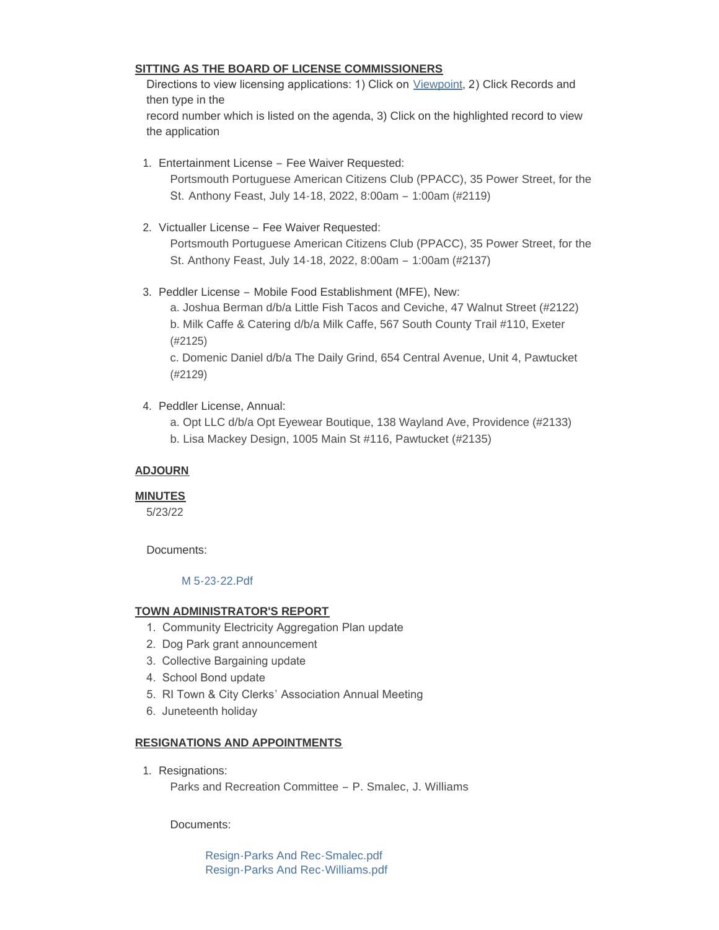# **SITTING AS THE BOARD OF LICENSE COMMISSIONERS**

Directions to view licensing applications: 1) Click on *[Viewpoint](https://portsmouthri.viewpointcloud.com/search)*, 2) Click Records and then type in the

record number which is listed on the agenda, 3) Click on the highlighted record to view the application

- 1. Entertainment License Fee Waiver Requested: Portsmouth Portuguese American Citizens Club (PPACC), 35 Power Street, for the St. Anthony Feast, July 14-18, 2022, 8:00am – 1:00am (#2119)
- 2. Victualler License Fee Waiver Requested: Portsmouth Portuguese American Citizens Club (PPACC), 35 Power Street, for the St. Anthony Feast, July 14-18, 2022, 8:00am – 1:00am (#2137)
- 3. Peddler License Mobile Food Establishment (MFE), New:

a. Joshua Berman d/b/a Little Fish Tacos and Ceviche, 47 Walnut Street (#2122) b. Milk Caffe & Catering d/b/a Milk Caffe, 567 South County Trail #110, Exeter (#2125)

c. Domenic Daniel d/b/a The Daily Grind, 654 Central Avenue, Unit 4, Pawtucket (#2129)

- 4. Peddler License, Annual:
	- a. Opt LLC d/b/a Opt Eyewear Boutique, 138 Wayland Ave, Providence (#2133) b. Lisa Mackey Design, 1005 Main St #116, Pawtucket (#2135)

## **ADJOURN**

## **MINUTES**

5/23/22

Documents:

# [M 5-23-22.Pdf](https://www.portsmouthri.gov/AgendaCenter/ViewFile/Item/9125?fileID=12143)

## **TOWN ADMINISTRATOR'S REPORT**

- 1. Community Electricity Aggregation Plan update
- 2. Dog Park grant announcement
- 3. Collective Bargaining update
- 4. School Bond update
- 5. RI Town & City Clerks' Association Annual Meeting
- 6. Juneteenth holiday

## **RESIGNATIONS AND APPOINTMENTS**

1. Resignations: Parks and Recreation Committee – P. Smalec, J. Williams

Documents:

[Resign-Parks And Rec-Smalec.pdf](https://www.portsmouthri.gov/AgendaCenter/ViewFile/Item/9104?fileID=12108) [Resign-Parks And Rec-Williams.pdf](https://www.portsmouthri.gov/AgendaCenter/ViewFile/Item/9104?fileID=12109)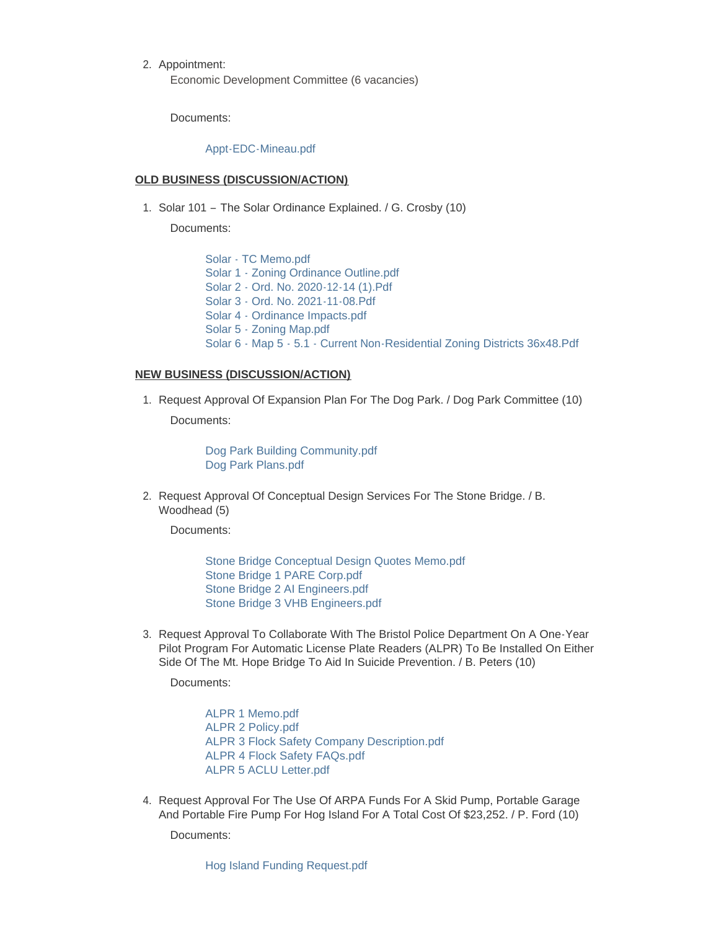2. Appointment:

Economic Development Committee (6 vacancies)

Documents:

### [Appt-EDC-Mineau.pdf](https://www.portsmouthri.gov/AgendaCenter/ViewFile/Item/9105?fileID=12110)

### **OLD BUSINESS (DISCUSSION/ACTION)**

1. Solar 101 - The Solar Ordinance Explained. / G. Crosby (10)

Documents:

[Solar - TC Memo.pdf](https://www.portsmouthri.gov/AgendaCenter/ViewFile/Item/9106?fileID=12111) [Solar 1 - Zoning Ordinance Outline.pdf](https://www.portsmouthri.gov/AgendaCenter/ViewFile/Item/9106?fileID=12112) [Solar 2 - Ord. No. 2020-12-14 \(1\).Pdf](https://www.portsmouthri.gov/AgendaCenter/ViewFile/Item/9106?fileID=12113) [Solar 3 - Ord. No. 2021-11-08.Pdf](https://www.portsmouthri.gov/AgendaCenter/ViewFile/Item/9106?fileID=12114) [Solar 4 - Ordinance Impacts.pdf](https://www.portsmouthri.gov/AgendaCenter/ViewFile/Item/9106?fileID=12115) [Solar 5 - Zoning Map.pdf](https://www.portsmouthri.gov/AgendaCenter/ViewFile/Item/9106?fileID=12116) [Solar 6 - Map 5 - 5.1 - Current Non-Residential Zoning Districts 36x48.Pdf](https://www.portsmouthri.gov/AgendaCenter/ViewFile/Item/9106?fileID=12176)

### **NEW BUSINESS (DISCUSSION/ACTION)**

1. Request Approval Of Expansion Plan For The Dog Park. / Dog Park Committee (10) Documents:

> [Dog Park Building Community.pdf](https://www.portsmouthri.gov/AgendaCenter/ViewFile/Item/9107?fileID=12117) [Dog Park Plans.pdf](https://www.portsmouthri.gov/AgendaCenter/ViewFile/Item/9107?fileID=12118)

2. Request Approval Of Conceptual Design Services For The Stone Bridge. / B. Woodhead (5)

Documents:

[Stone Bridge Conceptual Design Quotes Memo.pdf](https://www.portsmouthri.gov/AgendaCenter/ViewFile/Item/9108?fileID=12119) [Stone Bridge 1 PARE Corp.pdf](https://www.portsmouthri.gov/AgendaCenter/ViewFile/Item/9108?fileID=12120) [Stone Bridge 2 AI Engineers.pdf](https://www.portsmouthri.gov/AgendaCenter/ViewFile/Item/9108?fileID=12121) [Stone Bridge 3 VHB Engineers.pdf](https://www.portsmouthri.gov/AgendaCenter/ViewFile/Item/9108?fileID=12122)

3. Request Approval To Collaborate With The Bristol Police Department On A One-Year Pilot Program For Automatic License Plate Readers (ALPR) To Be Installed On Either Side Of The Mt. Hope Bridge To Aid In Suicide Prevention. / B. Peters (10)

Documents:

[ALPR 1 Memo.pdf](https://www.portsmouthri.gov/AgendaCenter/ViewFile/Item/9109?fileID=12123) [ALPR 2 Policy.pdf](https://www.portsmouthri.gov/AgendaCenter/ViewFile/Item/9109?fileID=12124) [ALPR 3 Flock Safety Company Description.pdf](https://www.portsmouthri.gov/AgendaCenter/ViewFile/Item/9109?fileID=12125) [ALPR 4 Flock Safety FAQs.pdf](https://www.portsmouthri.gov/AgendaCenter/ViewFile/Item/9109?fileID=12126) [ALPR 5 ACLU Letter.pdf](https://www.portsmouthri.gov/AgendaCenter/ViewFile/Item/9109?fileID=12127)

4. Request Approval For The Use Of ARPA Funds For A Skid Pump, Portable Garage And Portable Fire Pump For Hog Island For A Total Cost Of \$23,252. / P. Ford (10)

Documents:

[Hog Island Funding Request.pdf](https://www.portsmouthri.gov/AgendaCenter/ViewFile/Item/9111?fileID=12129)